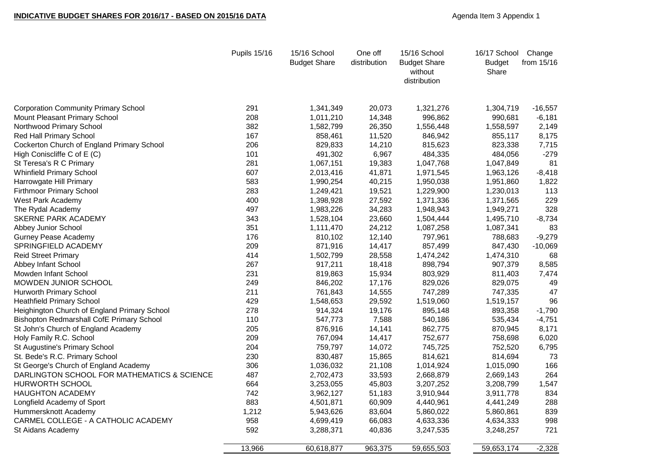## **INDICATIVE BUDGET SHARES FOR 2016/17 - BASED ON 2015/16 DATA Agenda Item 3 Appendix 1**

|                                                  | Pupils 15/16 | 15/16 School<br><b>Budget Share</b> | One off<br>distribution | 15/16 School<br><b>Budget Share</b><br>without<br>distribution | 16/17 School Change<br><b>Budget</b><br>Share | from 15/16 |
|--------------------------------------------------|--------------|-------------------------------------|-------------------------|----------------------------------------------------------------|-----------------------------------------------|------------|
| <b>Corporation Community Primary School</b>      | 291          | 1,341,349                           | 20,073                  | 1,321,276                                                      | 1,304,719                                     | $-16,557$  |
| Mount Pleasant Primary School                    | 208          | 1,011,210                           | 14,348                  | 996,862                                                        | 990,681                                       | $-6,181$   |
| Northwood Primary School                         | 382          | 1,582,799                           | 26,350                  | 1,556,448                                                      | 1,558,597                                     | 2,149      |
| <b>Red Hall Primary School</b>                   | 167          | 858,461                             | 11,520                  | 846,942                                                        | 855,117                                       | 8,175      |
| Cockerton Church of England Primary School       | 206          | 829,833                             | 14,210                  | 815,623                                                        | 823,338                                       | 7,715      |
| High Coniscliffe C of E (C)                      | 101          | 491,302                             | 6,967                   | 484,335                                                        | 484,056                                       | $-279$     |
| St Teresa's R C Primary                          | 281          | 1,067,151                           | 19,383                  | 1,047,768                                                      | 1,047,849                                     | 81         |
| <b>Whinfield Primary School</b>                  | 607          | 2,013,416                           | 41,871                  | 1,971,545                                                      | 1,963,126                                     | $-8,418$   |
| Harrowgate Hill Primary                          | 583          | 1,990,254                           | 40,215                  | 1,950,038                                                      | 1,951,860                                     | 1,822      |
| <b>Firthmoor Primary School</b>                  | 283          | 1,249,421                           | 19,521                  | 1,229,900                                                      | 1,230,013                                     | 113        |
| West Park Academy                                | 400          | 1,398,928                           | 27,592                  | 1,371,336                                                      | 1,371,565                                     | 229        |
| The Rydal Academy                                | 497          | 1,983,226                           | 34,283                  | 1,948,943                                                      | 1,949,271                                     | 328        |
| SKERNE PARK ACADEMY                              | 343          | 1,528,104                           | 23,660                  | 1,504,444                                                      | 1,495,710                                     | $-8,734$   |
| <b>Abbey Junior School</b>                       | 351          | 1,111,470                           | 24,212                  | 1,087,258                                                      | 1,087,341                                     | 83         |
| <b>Gurney Pease Academy</b>                      | 176          | 810,102                             | 12,140                  | 797,961                                                        | 788,683                                       | $-9,279$   |
| SPRINGFIELD ACADEMY                              | 209          | 871,916                             | 14,417                  | 857,499                                                        | 847,430                                       | $-10,069$  |
| <b>Reid Street Primary</b>                       | 414          | 1,502,799                           | 28,558                  | 1,474,242                                                      | 1,474,310                                     | 68         |
| Abbey Infant School                              | 267          | 917,211                             | 18,418                  | 898,794                                                        | 907,379                                       | 8,585      |
| Mowden Infant School                             | 231          | 819,863                             | 15,934                  | 803,929                                                        | 811,403                                       | 7,474      |
| MOWDEN JUNIOR SCHOOL                             | 249          | 846,202                             | 17,176                  | 829,026                                                        | 829,075                                       | 49         |
| <b>Hurworth Primary School</b>                   | 211          | 761,843                             | 14,555                  | 747,289                                                        | 747,335                                       | 47         |
| <b>Heathfield Primary School</b>                 | 429          | 1,548,653                           | 29,592                  | 1,519,060                                                      | 1,519,157                                     | 96         |
| Heighington Church of England Primary School     | 278          | 914,324                             | 19,176                  | 895,148                                                        | 893,358                                       | $-1,790$   |
| <b>Bishopton Redmarshall CofE Primary School</b> | 110          | 547,773                             | 7,588                   | 540,186                                                        | 535,434                                       | $-4,751$   |
| St John's Church of England Academy              | 205          | 876,916                             | 14,141                  | 862,775                                                        | 870,945                                       | 8,171      |
| Holy Family R.C. School                          | 209          | 767,094                             | 14,417                  | 752,677                                                        | 758,698                                       | 6,020      |
| St Augustine's Primary School                    | 204          | 759,797                             | 14,072                  | 745,725                                                        | 752,520                                       | 6,795      |
| St. Bede's R.C. Primary School                   | 230          | 830,487                             | 15,865                  | 814,621                                                        | 814,694                                       | 73         |
| St George's Church of England Academy            | 306          | 1,036,032                           | 21,108                  | 1,014,924                                                      | 1,015,090                                     | 166        |
| DARLINGTON SCHOOL FOR MATHEMATICS & SCIENCE      | 487          | 2,702,473                           | 33,593                  | 2,668,879                                                      | 2,669,143                                     | 264        |
| <b>HURWORTH SCHOOL</b>                           | 664          | 3,253,055                           | 45,803                  | 3,207,252                                                      | 3,208,799                                     | 1,547      |
| <b>HAUGHTON ACADEMY</b>                          | 742          | 3,962,127                           | 51,183                  | 3,910,944                                                      | 3,911,778                                     | 834        |
| Longfield Academy of Sport                       | 883          | 4,501,871                           | 60,909                  | 4,440,961                                                      | 4,441,249                                     | 288        |
| Hummersknott Academy                             | 1,212        | 5,943,626                           | 83,604                  | 5,860,022                                                      | 5,860,861                                     | 839        |
| CARMEL COLLEGE - A CATHOLIC ACADEMY              | 958          | 4,699,419                           | 66,083                  | 4,633,336                                                      | 4,634,333                                     | 998        |
| St Aidans Academy                                | 592          | 3,288,371                           | 40,836                  | 3,247,535                                                      | 3,248,257                                     | 721        |
|                                                  | 13,966       | 60,618,877                          | 963,375                 | 59,655,503                                                     | 59,653,174                                    | $-2,328$   |